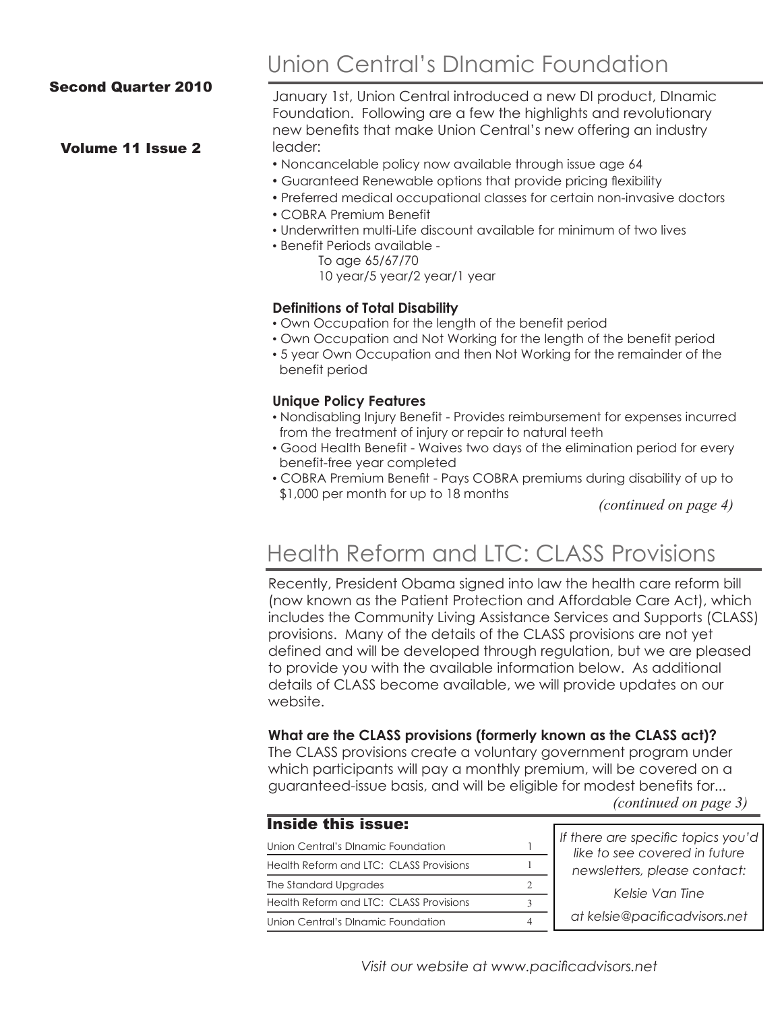#### Second Quarter 2010

#### Volume 11 Issue 2

## Union Central's DInamic Foundation

January 1st, Union Central introduced a new DI product, DInamic Foundation. Following are a few the highlights and revolutionary new benefits that make Union Central's new offering an industry leader:

- Noncancelable policy now available through issue age 64
- Guaranteed Renewable options that provide pricing flexibility
- Preferred medical occupational classes for certain non-invasive doctors
- COBRA Premium Benefit
- Underwritten multi-Life discount available for minimum of two lives
- Benefit Periods available To age 65/67/70 10 year/5 year/2 year/1 year

#### **Definitions of Total Disability**

- Own Occupation for the length of the benefit period
- Own Occupation and Not Working for the length of the benefit period
- 5 year Own Occupation and then Not Working for the remainder of the benefit period

#### **Unique Policy Features**

- Nondisabling Injury Benefit Provides reimbursement for expenses incurred from the treatment of injury or repair to natural teeth
- Good Health Benefit Waives two days of the elimination period for every benefit-free year completed
- COBRA Premium Benefit Pays COBRA premiums during disability of up to \$1,000 per month for up to 18 months

*(continued on page 4)*

# Health Reform and LTC: CLASS Provisions

Recently, President Obama signed into law the health care reform bill (now known as the Patient Protection and Affordable Care Act), which includes the Community Living Assistance Services and Supports (CLASS) provisions. Many of the details of the CLASS provisions are not yet defined and will be developed through regulation, but we are pleased to provide you with the available information below. As additional details of CLASS become available, we will provide updates on our website.

#### **What are the CLASS provisions (formerly known as the CLASS act)?**

The CLASS provisions create a voluntary government program under which participants will pay a monthly premium, will be covered on a guaranteed-issue basis, and will be eligible for modest benefits for... *(continued on page 3)*

| <b>Inside this issue:</b>               |  |
|-----------------------------------------|--|
| Union Central's DInamic Foundation      |  |
| Health Reform and LTC: CLASS Provisions |  |
| The Standard Upgrades                   |  |
| Health Reform and LTC: CLASS Provisions |  |
| Union Central's DInamic Foundation      |  |

*If there are specific topics you'd like to see covered in future newsletters, please contact:*

*Kelsie Van Tine*

*at kelsie@pacificadvisors.net*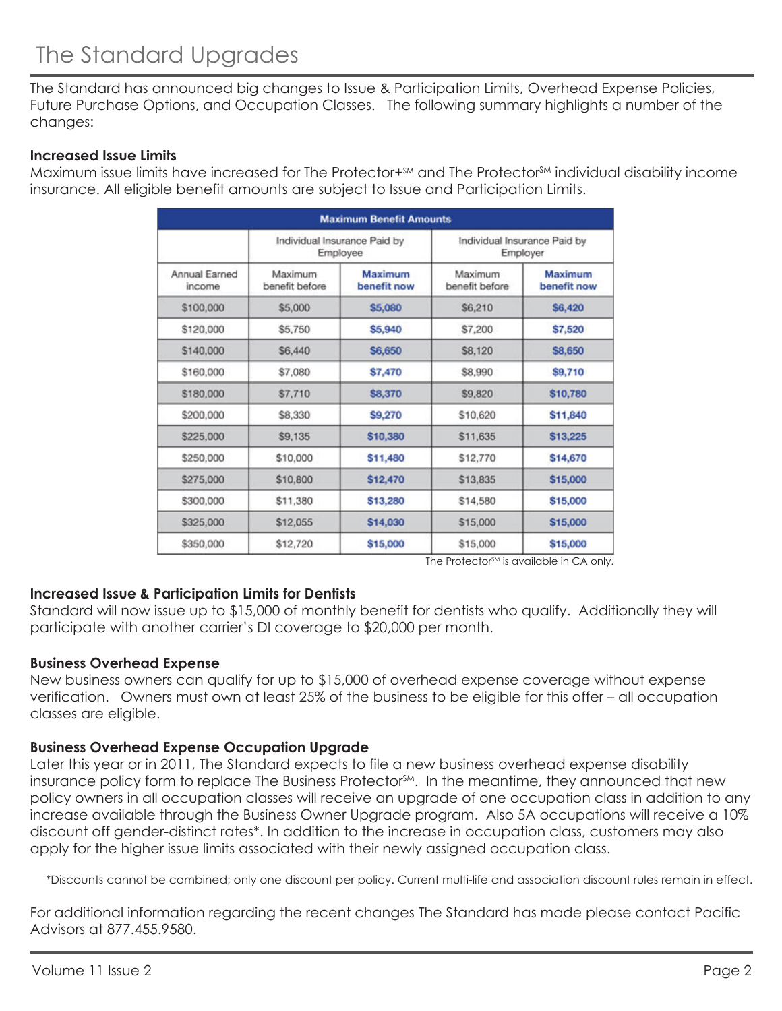The Standard has announced big changes to Issue & Participation Limits, Overhead Expense Policies, Future Purchase Options, and Occupation Classes. The following summary highlights a number of the changes:

#### **Increased Issue Limits**

Maximum issue limits have increased for The Protector+SM and The ProtectorSM individual disability income insurance. All eligible benefit amounts are subject to Issue and Participation Limits.

| <b>Maximum Benefit Amounts</b> |                                          |                        |                                          |                        |  |
|--------------------------------|------------------------------------------|------------------------|------------------------------------------|------------------------|--|
| Annual Earned<br>income        | Individual Insurance Paid by<br>Employee |                        | Individual Insurance Paid by<br>Employer |                        |  |
|                                | Maximum<br>benefit before                | Maximum<br>benefit now | Maximum<br>benefit before                | Maximum<br>benefit now |  |
| \$100,000                      | \$5,000                                  | \$5,080                | \$6,210                                  | <b>S6,420</b>          |  |
| \$120,000                      | \$5,750                                  | \$5,940                | \$7,200                                  | \$7,520                |  |
| \$140,000                      | <b>\$6,440</b>                           | <b>\$6,650</b>         | \$8,120                                  | \$8,650                |  |
| \$160,000                      | \$7,080                                  | <b>\$7,470</b>         | \$8,990                                  | \$9,710                |  |
| \$180,000                      | \$7,710                                  | <b>\$8,370</b>         | \$9,820                                  | \$10,780               |  |
| \$200,000                      | \$8,330                                  | <b>S9,270</b>          | \$10,620                                 | \$11,840               |  |
| \$225,000                      | \$9,135                                  | \$10,380               | \$11,635                                 | \$13,225               |  |
| \$250,000                      | \$10,000                                 | \$11,480               | \$12,770                                 | \$14,670               |  |
| \$275,000                      | \$10,800                                 | \$12,470               | \$13,835                                 | \$15,000               |  |
| \$300,000                      | \$11,380                                 | \$13,280               | \$14,580                                 | \$15,000               |  |
| \$325,000                      | \$12,055                                 | \$14,030               | \$15,000                                 | \$15,000               |  |
| \$350,000                      | \$12,720                                 | \$15,000               | \$15,000                                 | \$15,000               |  |

The Protector<sup>SM</sup> is available in CA only.

### **Increased Issue & Participation Limits for Dentists**

Standard will now issue up to \$15,000 of monthly benefit for dentists who qualify. Additionally they will participate with another carrier's DI coverage to \$20,000 per month.

### **Business Overhead Expense**

New business owners can qualify for up to \$15,000 of overhead expense coverage without expense verification. Owners must own at least 25% of the business to be eligible for this offer – all occupation classes are eligible.

### **Business Overhead Expense Occupation Upgrade**

Later this year or in 2011, The Standard expects to file a new business overhead expense disability insurance policy form to replace The Business Protector<sup>SM</sup>. In the meantime, they announced that new policy owners in all occupation classes will receive an upgrade of one occupation class in addition to any increase available through the Business Owner Upgrade program. Also 5A occupations will receive a 10% discount off gender-distinct rates\*. In addition to the increase in occupation class, customers may also apply for the higher issue limits associated with their newly assigned occupation class.

\*Discounts cannot be combined; only one discount per policy. Current multi-life and association discount rules remain in effect.

For additional information regarding the recent changes The Standard has made please contact Pacific Advisors at 877.455.9580.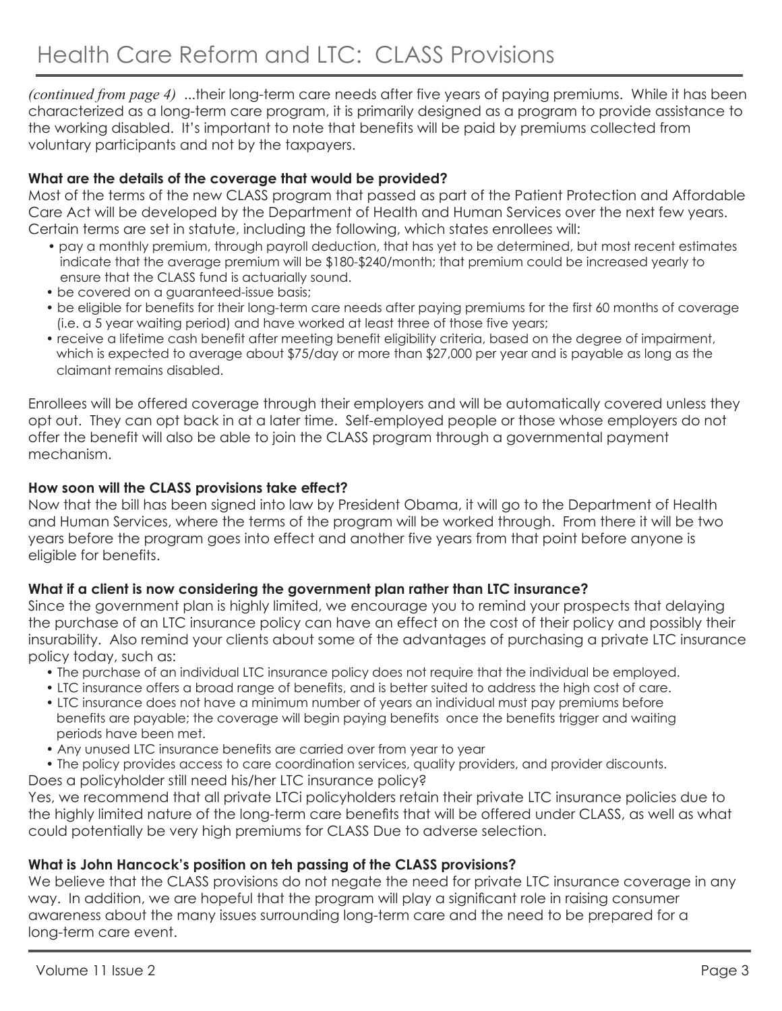*(continued from page 4)* ...their long-term care needs after five years of paying premiums. While it has been characterized as a long-term care program, it is primarily designed as a program to provide assistance to the working disabled. It's important to note that benefits will be paid by premiums collected from voluntary participants and not by the taxpayers.

## **What are the details of the coverage that would be provided?**

Most of the terms of the new CLASS program that passed as part of the Patient Protection and Affordable Care Act will be developed by the Department of Health and Human Services over the next few years. Certain terms are set in statute, including the following, which states enrollees will:

- pay a monthly premium, through payroll deduction, that has yet to be determined, but most recent estimates indicate that the average premium will be \$180-\$240/month; that premium could be increased yearly to ensure that the CLASS fund is actuarially sound.
- be covered on a guaranteed-issue basis;
- be eligible for benefits for their long-term care needs after paying premiums for the first 60 months of coverage (i.e. a 5 year waiting period) and have worked at least three of those five years;
- receive a lifetime cash benefit after meeting benefit eligibility criteria, based on the degree of impairment, which is expected to average about \$75/day or more than \$27,000 per year and is payable as long as the claimant remains disabled.

Enrollees will be offered coverage through their employers and will be automatically covered unless they opt out. They can opt back in at a later time. Self-employed people or those whose employers do not offer the benefit will also be able to join the CLASS program through a governmental payment mechanism.

## **How soon will the CLASS provisions take effect?**

Now that the bill has been signed into law by President Obama, it will go to the Department of Health and Human Services, where the terms of the program will be worked through. From there it will be two years before the program goes into effect and another five years from that point before anyone is eligible for benefits.

## **What if a client is now considering the government plan rather than LTC insurance?**

Since the government plan is highly limited, we encourage you to remind your prospects that delaying the purchase of an LTC insurance policy can have an effect on the cost of their policy and possibly their insurability. Also remind your clients about some of the advantages of purchasing a private LTC insurance policy today, such as:

- The purchase of an individual LTC insurance policy does not require that the individual be employed.
- LTC insurance offers a broad range of benefits, and is better suited to address the high cost of care.
- LTC insurance does not have a minimum number of years an individual must pay premiums before benefits are payable; the coverage will begin paying benefits once the benefits trigger and waiting periods have been met.
- Any unused LTC insurance benefits are carried over from year to year
- The policy provides access to care coordination services, quality providers, and provider discounts.

Does a policyholder still need his/her LTC insurance policy? Yes, we recommend that all private LTCi policyholders retain their private LTC insurance policies due to the highly limited nature of the long-term care benefits that will be offered under CLASS, as well as what could potentially be very high premiums for CLASS Due to adverse selection.

## **What is John Hancock's position on teh passing of the CLASS provisions?**

We believe that the CLASS provisions do not negate the need for private LTC insurance coverage in any way. In addition, we are hopeful that the program will play a significant role in raising consumer awareness about the many issues surrounding long-term care and the need to be prepared for a long-term care event.